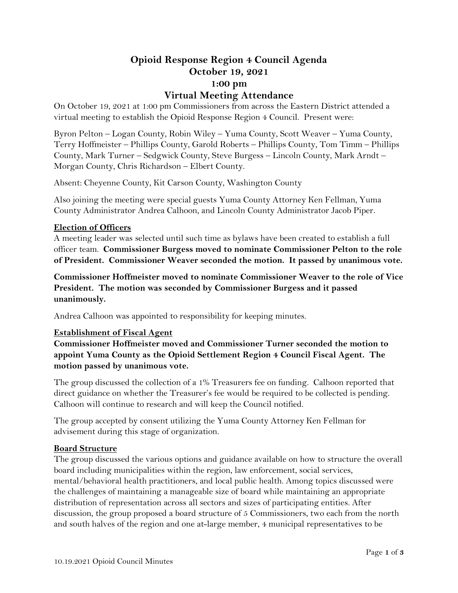# **Opioid Response Region 4 Council Agenda October 19, 2021 1:00 pm Virtual Meeting Attendance**

On October 19, 2021 at 1:00 pm Commissioners from across the Eastern District attended a virtual meeting to establish the Opioid Response Region 4 Council. Present were:

Byron Pelton – Logan County, Robin Wiley – Yuma County, Scott Weaver – Yuma County, Terry Hoffmeister – Phillips County, Garold Roberts – Phillips County, Tom Timm – Phillips County, Mark Turner – Sedgwick County, Steve Burgess – Lincoln County, Mark Arndt – Morgan County, Chris Richardson – Elbert County.

Absent: Cheyenne County, Kit Carson County, Washington County

Also joining the meeting were special guests Yuma County Attorney Ken Fellman, Yuma County Administrator Andrea Calhoon, and Lincoln County Administrator Jacob Piper.

## **Election of Officers**

A meeting leader was selected until such time as bylaws have been created to establish a full officer team. **Commissioner Burgess moved to nominate Commissioner Pelton to the role of President. Commissioner Weaver seconded the motion. It passed by unanimous vote.** 

**Commissioner Hoffmeister moved to nominate Commissioner Weaver to the role of Vice President. The motion was seconded by Commissioner Burgess and it passed unanimously.**

Andrea Calhoon was appointed to responsibility for keeping minutes.

#### **Establishment of Fiscal Agent**

**Commissioner Hoffmeister moved and Commissioner Turner seconded the motion to appoint Yuma County as the Opioid Settlement Region 4 Council Fiscal Agent. The motion passed by unanimous vote.** 

The group discussed the collection of a 1% Treasurers fee on funding. Calhoon reported that direct guidance on whether the Treasurer's fee would be required to be collected is pending. Calhoon will continue to research and will keep the Council notified.

The group accepted by consent utilizing the Yuma County Attorney Ken Fellman for advisement during this stage of organization.

## **Board Structure**

The group discussed the various options and guidance available on how to structure the overall board including municipalities within the region, law enforcement, social services, mental/behavioral health practitioners, and local public health. Among topics discussed were the challenges of maintaining a manageable size of board while maintaining an appropriate distribution of representation across all sectors and sizes of participating entities. After discussion, the group proposed a board structure of 5 Commissioners, two each from the north and south halves of the region and one at-large member, 4 municipal representatives to be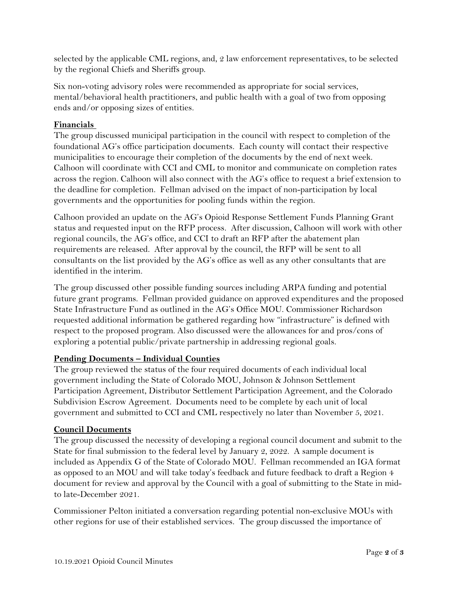selected by the applicable CML regions, and, 2 law enforcement representatives, to be selected by the regional Chiefs and Sheriffs group.

Six non-voting advisory roles were recommended as appropriate for social services, mental/behavioral health practitioners, and public health with a goal of two from opposing ends and/or opposing sizes of entities.

## **Financials**

The group discussed municipal participation in the council with respect to completion of the foundational AG's office participation documents. Each county will contact their respective municipalities to encourage their completion of the documents by the end of next week. Calhoon will coordinate with CCI and CML to monitor and communicate on completion rates across the region. Calhoon will also connect with the AG's office to request a brief extension to the deadline for completion. Fellman advised on the impact of non-participation by local governments and the opportunities for pooling funds within the region.

Calhoon provided an update on the AG's Opioid Response Settlement Funds Planning Grant status and requested input on the RFP process. After discussion, Calhoon will work with other regional councils, the AG's office, and CCI to draft an RFP after the abatement plan requirements are released. After approval by the council, the RFP will be sent to all consultants on the list provided by the AG's office as well as any other consultants that are identified in the interim.

The group discussed other possible funding sources including ARPA funding and potential future grant programs. Fellman provided guidance on approved expenditures and the proposed State Infrastructure Fund as outlined in the AG's Office MOU. Commissioner Richardson requested additional information be gathered regarding how "infrastructure" is defined with respect to the proposed program. Also discussed were the allowances for and pros/cons of exploring a potential public/private partnership in addressing regional goals.

#### **Pending Documents – Individual Counties**

The group reviewed the status of the four required documents of each individual local government including the State of Colorado MOU, Johnson & Johnson Settlement Participation Agreement, Distributor Settlement Participation Agreement, and the Colorado Subdivision Escrow Agreement. Documents need to be complete by each unit of local government and submitted to CCI and CML respectively no later than November 5, 2021.

#### **Council Documents**

The group discussed the necessity of developing a regional council document and submit to the State for final submission to the federal level by January 2, 2022. A sample document is included as Appendix G of the State of Colorado MOU. Fellman recommended an IGA format as opposed to an MOU and will take today's feedback and future feedback to draft a Region 4 document for review and approval by the Council with a goal of submitting to the State in midto late-December 2021.

Commissioner Pelton initiated a conversation regarding potential non-exclusive MOUs with other regions for use of their established services. The group discussed the importance of